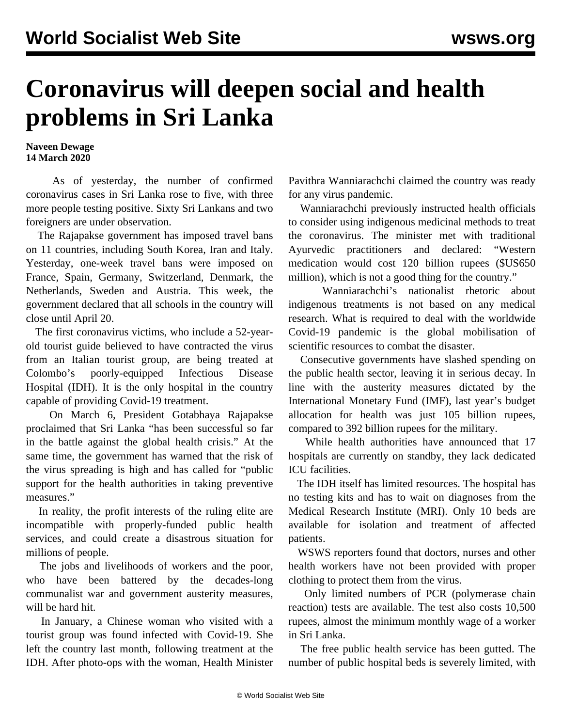## **Coronavirus will deepen social and health problems in Sri Lanka**

**Naveen Dewage 14 March 2020**

 As of yesterday, the number of confirmed coronavirus cases in Sri Lanka rose to five, with three more people testing positive. Sixty Sri Lankans and two foreigners are under observation.

 The Rajapakse government has imposed travel bans on 11 countries, including South Korea, Iran and Italy. Yesterday, one-week travel bans were imposed on France, Spain, Germany, Switzerland, Denmark, the Netherlands, Sweden and Austria. This week, the government declared that all schools in the country will close until April 20.

 The first coronavirus victims, who include a 52-yearold tourist guide believed to have contracted the virus from an Italian tourist group, are being treated at Colombo's poorly-equipped Infectious Disease Hospital (IDH). It is the only hospital in the country capable of providing Covid-19 treatment.

 On March 6, President Gotabhaya Rajapakse proclaimed that Sri Lanka "has been successful so far in the battle against the global health crisis." At the same time, the government has warned that the risk of the virus spreading is high and has called for "public support for the health authorities in taking preventive measures."

 In reality, the profit interests of the ruling elite are incompatible with properly-funded public health services, and could create a disastrous situation for millions of people.

 The jobs and livelihoods of workers and the poor, who have been battered by the decades-long communalist war and government austerity measures, will be hard hit.

 In January, a Chinese woman who visited with a tourist group was found infected with Covid-19. She left the country last month, following treatment at the IDH. After photo-ops with the woman, Health Minister Pavithra Wanniarachchi claimed the country was ready for any virus pandemic.

 Wanniarachchi previously instructed health officials to consider using indigenous medicinal methods to treat the coronavirus. The minister met with traditional Ayurvedic practitioners and declared: "Western medication would cost 120 billion rupees (\$US650 million), which is not a good thing for the country."

 Wanniarachchi's nationalist rhetoric about indigenous treatments is not based on any medical research. What is required to deal with the worldwide Covid-19 pandemic is the global mobilisation of scientific resources to combat the disaster.

 Consecutive governments have slashed spending on the public health sector, leaving it in serious decay. In line with the austerity measures dictated by the International Monetary Fund (IMF), last year's budget allocation for health was just 105 billion rupees, compared to 392 billion rupees for the military.

 While health authorities have announced that 17 hospitals are currently on standby, they lack dedicated ICU facilities.

 The IDH itself has limited resources. The hospital has no testing kits and has to wait on diagnoses from the Medical Research Institute (MRI). Only 10 beds are available for isolation and treatment of affected patients.

 WSWS reporters found that doctors, nurses and other health workers have not been provided with proper clothing to protect them from the virus.

 Only limited numbers of PCR (polymerase chain reaction) tests are available. The test also costs 10,500 rupees, almost the minimum monthly wage of a worker in Sri Lanka.

 The free public health service has been gutted. The number of public hospital beds is severely limited, with